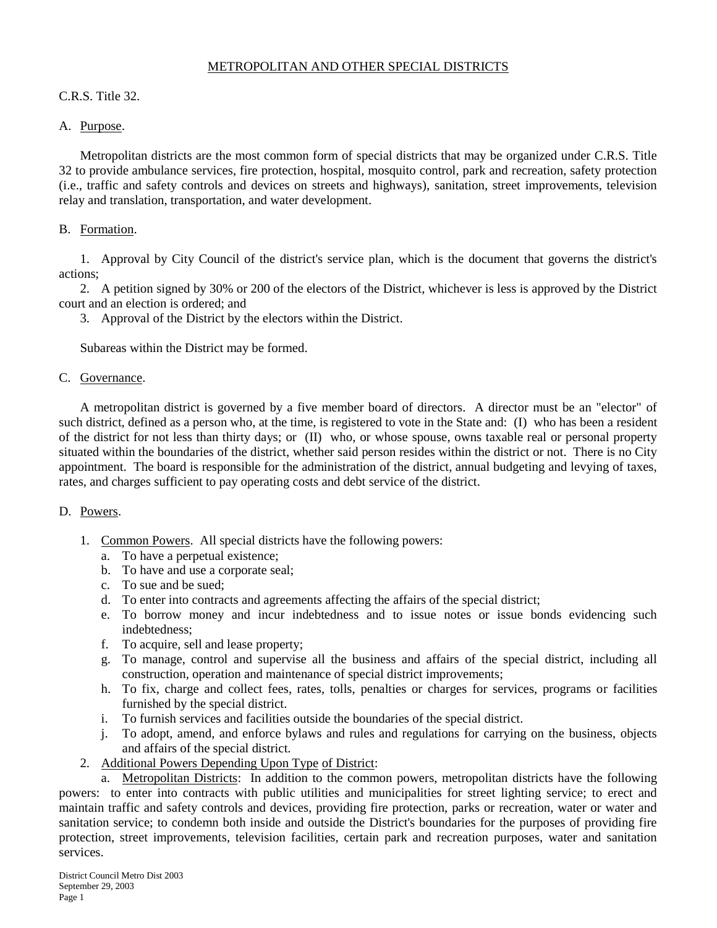#### METROPOLITAN AND OTHER SPECIAL DISTRICTS

# C.R.S. Title 32.

# A. Purpose.

Metropolitan districts are the most common form of special districts that may be organized under C.R.S. Title 32 to provide ambulance services, fire protection, hospital, mosquito control, park and recreation, safety protection (i.e., traffic and safety controls and devices on streets and highways), sanitation, street improvements, television relay and translation, transportation, and water development.

## B. Formation.

1. Approval by City Council of the district's service plan, which is the document that governs the district's actions;

2. A petition signed by 30% or 200 of the electors of the District, whichever is less is approved by the District court and an election is ordered; and

3. Approval of the District by the electors within the District.

Subareas within the District may be formed.

### C. Governance.

A metropolitan district is governed by a five member board of directors. A director must be an "elector" of such district, defined as a person who, at the time, is registered to vote in the State and: (I) who has been a resident of the district for not less than thirty days; or (II) who, or whose spouse, owns taxable real or personal property situated within the boundaries of the district, whether said person resides within the district or not. There is no City appointment. The board is responsible for the administration of the district, annual budgeting and levying of taxes, rates, and charges sufficient to pay operating costs and debt service of the district.

## D. Powers.

- 1. Common Powers. All special districts have the following powers:
	- a. To have a perpetual existence;
	- b. To have and use a corporate seal;
	- c. To sue and be sued;
	- d. To enter into contracts and agreements affecting the affairs of the special district;
	- e. To borrow money and incur indebtedness and to issue notes or issue bonds evidencing such indebtedness;
	- f. To acquire, sell and lease property;
	- g. To manage, control and supervise all the business and affairs of the special district, including all construction, operation and maintenance of special district improvements;
	- h. To fix, charge and collect fees, rates, tolls, penalties or charges for services, programs or facilities furnished by the special district.
	- i. To furnish services and facilities outside the boundaries of the special district.
	- j. To adopt, amend, and enforce bylaws and rules and regulations for carrying on the business, objects and affairs of the special district.
- 2. Additional Powers Depending Upon Type of District:

a. Metropolitan Districts: In addition to the common powers, metropolitan districts have the following powers: to enter into contracts with public utilities and municipalities for street lighting service; to erect and maintain traffic and safety controls and devices, providing fire protection, parks or recreation, water or water and sanitation service; to condemn both inside and outside the District's boundaries for the purposes of providing fire protection, street improvements, television facilities, certain park and recreation purposes, water and sanitation services.